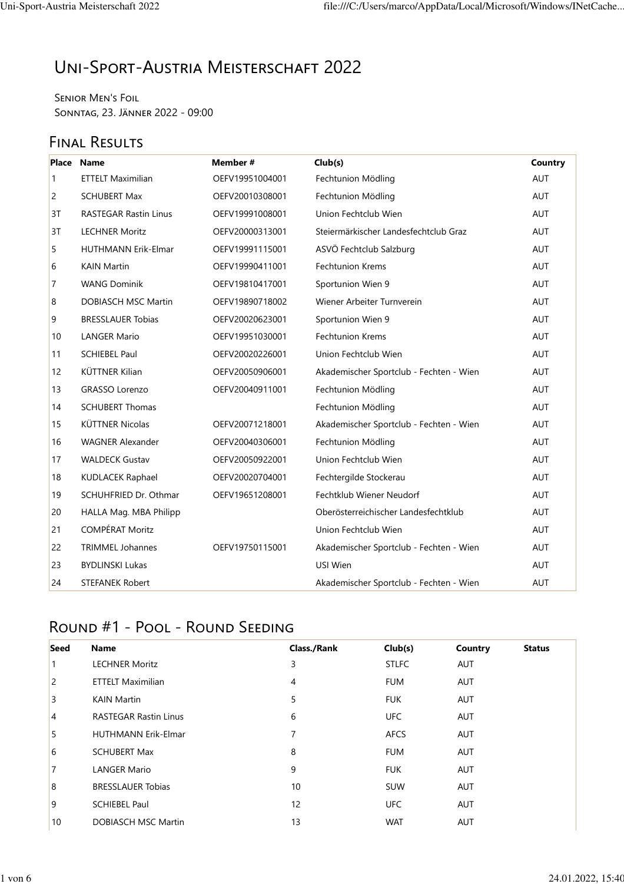# Uni-Sport-Austria Meisterschaft 2022

Senior Men's Foil Sonntag, 23. Jänner 2022 - 09:00

# FINAL RESULTS

|    | <b>Place Name</b>          | Member#         | Club(s)                                 | Country    |
|----|----------------------------|-----------------|-----------------------------------------|------------|
| 1  | <b>ETTELT Maximilian</b>   | OEFV19951004001 | Fechtunion Mödling                      | AUT        |
| 2  | <b>SCHUBERT Max</b>        | OEFV20010308001 | Fechtunion Mödling                      | <b>AUT</b> |
| 3T | RASTEGAR Rastin Linus      | OEFV19991008001 | Union Fechtclub Wien                    | AUT        |
| 3T | <b>LECHNER Moritz</b>      | OEFV20000313001 | Steiermärkischer Landesfechtclub Graz   | <b>AUT</b> |
| 5  | <b>HUTHMANN Erik-Elmar</b> | OEFV19991115001 | ASVÖ Fechtclub Salzburg                 | AUT        |
| 6  | <b>KAIN Martin</b>         | OEFV19990411001 | <b>Fechtunion Krems</b>                 | AUT        |
| 7  | <b>WANG Dominik</b>        | OEFV19810417001 | Sportunion Wien 9                       | <b>AUT</b> |
| 8  | DOBIASCH MSC Martin        | OEFV19890718002 | Wiener Arbeiter Turnverein              | AUT        |
| 9  | <b>BRESSLAUER Tobias</b>   | OEFV20020623001 | Sportunion Wien 9                       | <b>AUT</b> |
| 10 | <b>LANGER Mario</b>        | OEFV19951030001 | Fechtunion Krems                        | AUT        |
| 11 | <b>SCHIEBEL Paul</b>       | OEFV20020226001 | Union Fechtclub Wien                    | <b>AUT</b> |
| 12 | KÜTTNER Kilian             | OEFV20050906001 | Akademischer Sportclub - Fechten - Wien | AUT        |
| 13 | <b>GRASSO Lorenzo</b>      | OEFV20040911001 | Fechtunion Mödling                      | <b>AUT</b> |
| 14 | <b>SCHUBERT Thomas</b>     |                 | Fechtunion Mödling                      | <b>AUT</b> |
| 15 | <b>KÜTTNER Nicolas</b>     | OEFV20071218001 | Akademischer Sportclub - Fechten - Wien | <b>AUT</b> |
| 16 | <b>WAGNER Alexander</b>    | OEFV20040306001 | Fechtunion Mödling                      | <b>AUT</b> |
| 17 | <b>WALDECK Gustav</b>      | OEFV20050922001 | Union Fechtclub Wien                    | AUT        |
| 18 | <b>KUDLACEK Raphael</b>    | OEFV20020704001 | Fechtergilde Stockerau                  | <b>AUT</b> |
| 19 | SCHUHFRIED Dr. Othmar      | OEFV19651208001 | Fechtklub Wiener Neudorf                | AUT        |
| 20 | HALLA Mag. MBA Philipp     |                 | Oberösterreichischer Landesfechtklub    | <b>AUT</b> |
| 21 | <b>COMPÉRAT Moritz</b>     |                 | Union Fechtclub Wien                    | <b>AUT</b> |
| 22 | <b>TRIMMEL Johannes</b>    | OEFV19750115001 | Akademischer Sportclub - Fechten - Wien | AUT        |
| 23 | <b>BYDLINSKI Lukas</b>     |                 | USI Wien                                | AUT        |
| 24 | <b>STEFANEK Robert</b>     |                 | Akademischer Sportclub - Fechten - Wien | AUT        |

# Round #1 - Pool - Round Seeding

| Seed           | <b>Name</b>                  | <b>Class./Rank</b> | Club(s)      | Country    | <b>Status</b> |
|----------------|------------------------------|--------------------|--------------|------------|---------------|
|                | <b>LECHNER Moritz</b>        | 3                  | <b>STLFC</b> | AUT        |               |
| 2              | <b>ETTELT Maximilian</b>     | 4                  | <b>FUM</b>   | <b>AUT</b> |               |
| 3              | <b>KAIN Martin</b>           | 5                  | <b>FUK</b>   | AUT        |               |
| $\overline{4}$ | <b>RASTEGAR Rastin Linus</b> | 6                  | <b>UFC</b>   | <b>AUT</b> |               |
| 5              | <b>HUTHMANN Erik-Elmar</b>   | 7                  | <b>AFCS</b>  | <b>AUT</b> |               |
| 6              | <b>SCHUBERT Max</b>          | 8                  | <b>FUM</b>   | <b>AUT</b> |               |
| 7              | <b>LANGER Mario</b>          | 9                  | <b>FUK</b>   | <b>AUT</b> |               |
| 8              | <b>BRESSLAUER Tobias</b>     | 10                 | <b>SUW</b>   | <b>AUT</b> |               |
| $\overline{9}$ | <b>SCHIEBEL Paul</b>         | 12                 | UFC          | AUT        |               |
| 10             | <b>DOBIASCH MSC Martin</b>   | 13                 | <b>WAT</b>   | <b>AUT</b> |               |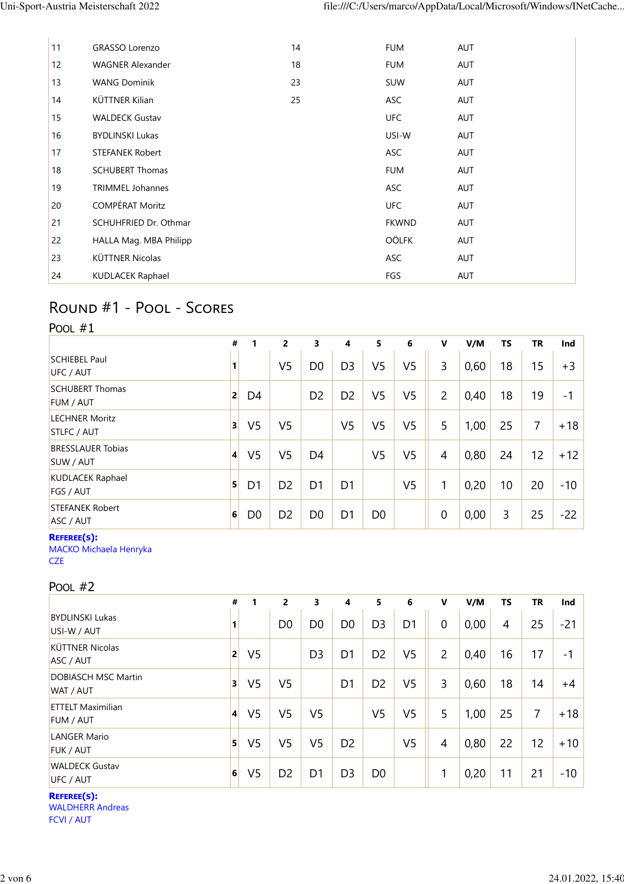| 11 | <b>GRASSO Lorenzo</b>   | 14 | <b>FUM</b>   | <b>AUT</b> |
|----|-------------------------|----|--------------|------------|
| 12 | <b>WAGNER Alexander</b> | 18 | <b>FUM</b>   | <b>AUT</b> |
| 13 | <b>WANG Dominik</b>     | 23 | <b>SUW</b>   | <b>AUT</b> |
| 14 | KÜTTNER Kilian          | 25 | ASC          | <b>AUT</b> |
| 15 | <b>WALDECK Gustav</b>   |    | <b>UFC</b>   | <b>AUT</b> |
| 16 | <b>BYDLINSKI Lukas</b>  |    | USI-W        | <b>AUT</b> |
| 17 | <b>STEFANEK Robert</b>  |    | ASC          | <b>AUT</b> |
| 18 | <b>SCHUBERT Thomas</b>  |    | <b>FUM</b>   | AUT        |
| 19 | <b>TRIMMEL Johannes</b> |    | ASC          | <b>AUT</b> |
| 20 | <b>COMPÉRAT Moritz</b>  |    | <b>UFC</b>   | AUT        |
| 21 | SCHUHFRIED Dr. Othmar   |    | <b>FKWND</b> | <b>AUT</b> |
| 22 | HALLA Mag. MBA Philipp  |    | <b>OÖLFK</b> | AUT        |
| 23 | <b>KÜTTNER Nicolas</b>  |    | ASC          | <b>AUT</b> |
| 24 | KUDLACEK Raphael        |    | FGS          | <b>AUT</b> |

## Round #1 - Pool - Scores

| POOL #1                                      |           |                |                |                |                |                |                |                |      |           |           |       |
|----------------------------------------------|-----------|----------------|----------------|----------------|----------------|----------------|----------------|----------------|------|-----------|-----------|-------|
|                                              | #         | 1              | $\overline{2}$ | 3              | 4              | 5              | 6              | $\mathbf v$    | V/M  | <b>TS</b> | <b>TR</b> | Ind   |
| <b>SCHIEBEL Paul</b><br>UFC / AUT            | 1         |                | V <sub>5</sub> | D <sub>0</sub> | D <sub>3</sub> | V <sub>5</sub> | V <sub>5</sub> | 3              | 0,60 | 18        | 15        | $+3$  |
| <b>SCHUBERT Thomas</b><br><b>FUM / AUT</b>   | 2         | D <sub>4</sub> |                | D <sub>2</sub> | D <sub>2</sub> | V <sub>5</sub> | V <sub>5</sub> | $\overline{2}$ | 0,40 | 18        | 19        | $-1$  |
| <b>LECHNER Moritz</b><br><b>STLFC / AUT</b>  | 3         | V <sub>5</sub> | V <sub>5</sub> |                | V <sub>5</sub> | V5             | V <sub>5</sub> | 5              | 1,00 | 25        | 7         | $+18$ |
| <b>BRESSLAUER Tobias</b><br><b>SUW / AUT</b> | $\vert$ 4 | V <sub>5</sub> | V <sub>5</sub> | D <sub>4</sub> |                | V <sub>5</sub> | V <sub>5</sub> | $\overline{4}$ | 0,80 | 24        | 12        | $+12$ |
| <b>KUDLACEK Raphael</b><br>FGS / AUT         | 5         | D <sub>1</sub> | D <sub>2</sub> | D <sub>1</sub> | D <sub>1</sub> |                | V <sub>5</sub> | 1              | 0,20 | 10        | 20        | $-10$ |
| <b>STEFANEK Robert</b><br>ASC / AUT          | $6 \mid$  | D <sub>0</sub> | D <sub>2</sub> | D <sub>0</sub> | D <sub>1</sub> | D <sub>0</sub> |                | $\mathbf 0$    | 0,00 | 3         | 25        | $-22$ |

## **REFEREE(S):**

MACKO Michaela Henryka **CZE** 

| POOL $#2$                                    |              |                |                |                |                |                |                |                |      |           |           |       |
|----------------------------------------------|--------------|----------------|----------------|----------------|----------------|----------------|----------------|----------------|------|-----------|-----------|-------|
|                                              | #            | 1              | $\overline{2}$ | 3              | 4              | 5              | 6              | $\mathbf v$    | V/M  | <b>TS</b> | <b>TR</b> | Ind   |
| <b>BYDLINSKI Lukas</b><br>USI-W / AUT        | 1            |                | D <sub>0</sub> | D <sub>0</sub> | D <sub>0</sub> | D <sub>3</sub> | D <sub>1</sub> | $\mathbf 0$    | 0,00 | 4         | 25        | $-21$ |
| <b>KÜTTNER Nicolas</b><br>ASC / AUT          | $\mathsf{2}$ | V <sub>5</sub> |                | D <sub>3</sub> | D <sub>1</sub> | D <sub>2</sub> | V <sub>5</sub> | $\overline{2}$ | 0,40 | 16        | 17        | $-1$  |
| <b>DOBIASCH MSC Martin</b><br>WAT / AUT      | 3            | V <sub>5</sub> | V <sub>5</sub> |                | D <sub>1</sub> | D <sub>2</sub> | V <sub>5</sub> | 3              | 0,60 | 18        | 14        | +4    |
| <b>ETTELT Maximilian</b><br><b>FUM / AUT</b> | 4            | V <sub>5</sub> | V <sub>5</sub> | V <sub>5</sub> |                | V <sub>5</sub> | V <sub>5</sub> | 5              | 1,00 | 25        | 7         | $+18$ |
| <b>LANGER Mario</b><br><b>FUK / AUT</b>      | 5            | V <sub>5</sub> | V5             | V <sub>5</sub> | D <sub>2</sub> |                | V <sub>5</sub> | $\overline{4}$ | 0,80 | 22        | 12        | $+10$ |
| <b>WALDECK Gustav</b><br>UFC / AUT           | 6            | V <sub>5</sub> | D <sub>2</sub> | D <sub>1</sub> | D <sub>3</sub> | D <sub>0</sub> |                | 1              | 0,20 | 11        | 21        | $-10$ |

**REFEREE(S):**

WALDHERR Andreas

FCVI / AUT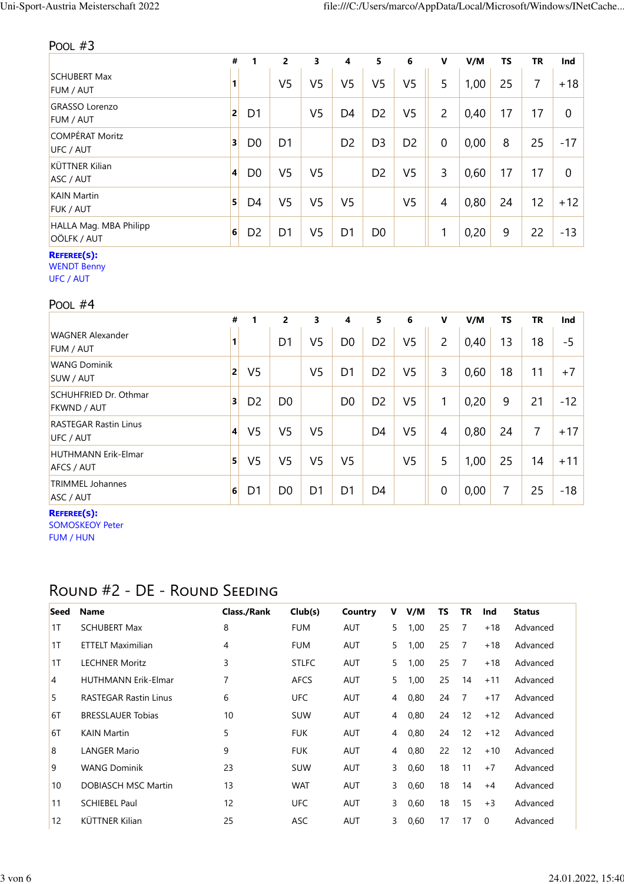## Pool #3

|                                           | #              |                | 2              | 3              | 4              | 5.             | 6              | V              | V/M  | ΤS | <b>TR</b> | Ind            |
|-------------------------------------------|----------------|----------------|----------------|----------------|----------------|----------------|----------------|----------------|------|----|-----------|----------------|
| <b>SCHUBERT Max</b><br><b>FUM / AUT</b>   | 1              |                | V <sub>5</sub> | V <sub>5</sub> | V <sub>5</sub> | V <sub>5</sub> | V <sub>5</sub> | 5              | 1,00 | 25 | 7         | $+18$          |
| <b>GRASSO Lorenzo</b><br><b>FUM / AUT</b> | $\overline{2}$ | D <sub>1</sub> |                | V5             | D <sub>4</sub> | D <sub>2</sub> | V5             | $\overline{2}$ | 0,40 | 17 | 17        | $\overline{0}$ |
| <b>COMPÉRAT Moritz</b><br>UFC / AUT       | 3              | D <sub>0</sub> | D <sub>1</sub> |                | D <sub>2</sub> | D <sub>3</sub> | D <sub>2</sub> | 0              | 0,00 | 8  | 25        | $-17$          |
| <b>KÜTTNER Kilian</b><br>ASC / AUT        | $\vert$        | D <sub>0</sub> | V <sub>5</sub> | V <sub>5</sub> |                | D <sub>2</sub> | V <sub>5</sub> | 3              | 0,60 | 17 | 17        | $\overline{0}$ |
| <b>KAIN Martin</b><br><b>FUK / AUT</b>    | 5              | D <sub>4</sub> | V <sub>5</sub> | V <sub>5</sub> | V <sub>5</sub> |                | V <sub>5</sub> | 4              | 0,80 | 24 | 12        | $+12$          |
| HALLA Mag. MBA Philipp<br>OÖLFK / AUT     | 6              | D <sub>2</sub> | D <sub>1</sub> | V5             | D <sub>1</sub> | D <sub>0</sub> |                | $\mathbf{1}$   | 0,20 | 9  | 22        | $-13$          |
| $\sim$ $\sim$                             |                |                |                |                |                |                |                |                |      |    |           |                |

#### **REFEREE(S):**

WENDT Benny

UFC / AUT

### POOL #4

|                                                    | #              |                | $\overline{2}$ | 3              | 4              | 5              | 6              | V              | V/M  | ΤS | ΤR | Ind   |
|----------------------------------------------------|----------------|----------------|----------------|----------------|----------------|----------------|----------------|----------------|------|----|----|-------|
| <b>WAGNER Alexander</b><br><b>FUM / AUT</b>        |                |                | D <sub>1</sub> | V5             | D <sub>0</sub> | D <sub>2</sub> | V <sub>5</sub> | $\overline{2}$ | 0,40 | 13 | 18 | -5    |
| <b>WANG Dominik</b><br>SUW / AUT                   | 2              | V <sub>5</sub> |                | V <sub>5</sub> | D <sub>1</sub> | D <sub>2</sub> | V <sub>5</sub> | 3              | 0,60 | 18 | 11 | $+7$  |
| <b>SCHUHFRIED Dr. Othmar</b><br><b>FKWND / AUT</b> | 3              | D <sub>2</sub> | D <sub>0</sub> |                | D <sub>0</sub> | D <sub>2</sub> | V <sub>5</sub> | 1              | 0,20 | 9  | 21 | $-12$ |
| <b>RASTEGAR Rastin Linus</b><br>UFC / AUT          | $\vert$ 4      | V <sub>5</sub> | V <sub>5</sub> | V <sub>5</sub> |                | D <sub>4</sub> | V <sub>5</sub> | $\overline{4}$ | 0,80 | 24 | 7  | $+17$ |
| <b>HUTHMANN Erik-Elmar</b><br><b>AFCS / AUT</b>    | 5 <sup>1</sup> | V <sub>5</sub> | V <sub>5</sub> | V <sub>5</sub> | V <sub>5</sub> |                | V <sub>5</sub> | 5              | 1,00 | 25 | 14 | $+11$ |
| <b>TRIMMEL Johannes</b><br>ASC / AUT               | 6              | D <sub>1</sub> | D <sub>0</sub> | D1             | D <sub>1</sub> | D <sub>4</sub> |                | $\mathbf 0$    | 0,00 | 7  | 25 | $-18$ |

**REFEREE(S):**

SOMOSKEOY Peter FUM / HUN

## Round #2 - DE - Round Seeding

| Seed            | <b>Name</b>                  | <b>Class./Rank</b> | Club(s)      | Country    | v | V/M  | ΤS | TR | Ind         | <b>Status</b> |
|-----------------|------------------------------|--------------------|--------------|------------|---|------|----|----|-------------|---------------|
| 1T              | <b>SCHUBERT Max</b>          | 8                  | <b>FUM</b>   | <b>AUT</b> | 5 | 1,00 | 25 | 7  | $+18$       | Advanced      |
| 1T              | ETTELT Maximilian            | 4                  | <b>FUM</b>   | AUT        | 5 | 1,00 | 25 | -7 | $+18$       | Advanced      |
| 1T              | <b>LECHNER Moritz</b>        | 3                  | <b>STLFC</b> | <b>AUT</b> | 5 | 1,00 | 25 | -7 | $+18$       | Advanced      |
| $\vert 4 \vert$ | <b>HUTHMANN Erik-Elmar</b>   | 7                  | <b>AFCS</b>  | <b>AUT</b> | 5 | 1,00 | 25 | 14 | $+11$       | Advanced      |
| 5               | <b>RASTEGAR Rastin Linus</b> | 6                  | UFC          | AUT        | 4 | 0,80 | 24 | -7 | $+17$       | Advanced      |
| 6T              | <b>BRESSLAUER Tobias</b>     | 10                 | <b>SUW</b>   | <b>AUT</b> | 4 | 0,80 | 24 | 12 | $+12$       | Advanced      |
| 6T              | <b>KAIN Martin</b>           | 5                  | <b>FUK</b>   | <b>AUT</b> | 4 | 0,80 | 24 | 12 | $+12$       | Advanced      |
| 8               | <b>LANGER Mario</b>          | 9                  | <b>FUK</b>   | <b>AUT</b> | 4 | 0,80 | 22 | 12 | $+10$       | Advanced      |
| $\overline{9}$  | <b>WANG Dominik</b>          | 23                 | <b>SUW</b>   | <b>AUT</b> | 3 | 0,60 | 18 | 11 | $+7$        | Advanced      |
| 10              | <b>DOBIASCH MSC Martin</b>   | 13                 | <b>WAT</b>   | <b>AUT</b> | 3 | 0,60 | 18 | 14 | $+4$        | Advanced      |
| 11              | <b>SCHIEBEL Paul</b>         | 12                 | UFC          | <b>AUT</b> | 3 | 0,60 | 18 | 15 | $+3$        | Advanced      |
| 12              | KÜTTNER Kilian               | 25                 | ASC          | <b>AUT</b> | 3 | 0,60 | 17 | 17 | $\mathbf 0$ | Advanced      |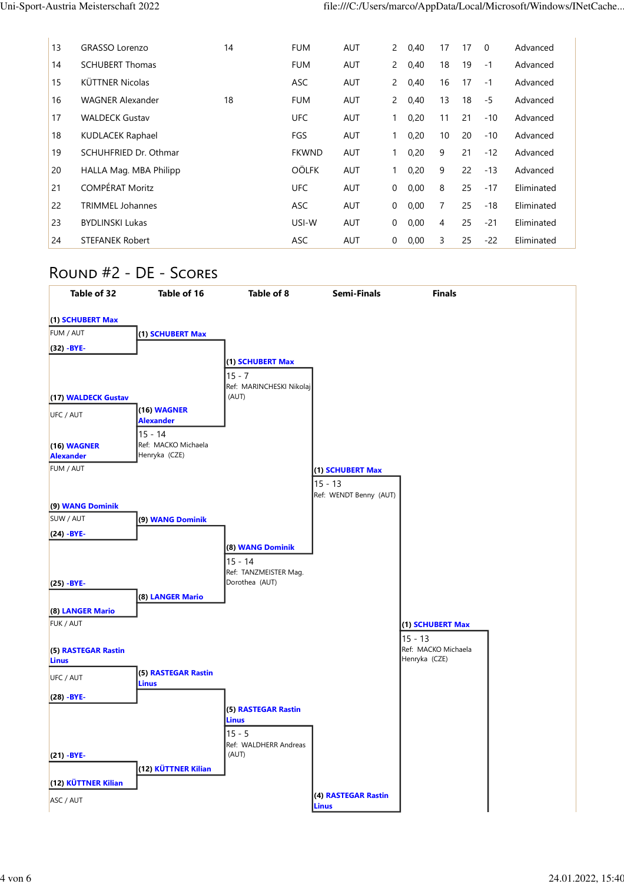| 13 | <b>GRASSO Lorenzo</b>   | 14 | <b>FUM</b>   | <b>AUT</b> | $\mathbf{2}$          | 0.40 | 17             | 17 | $\Omega$ | Advanced   |
|----|-------------------------|----|--------------|------------|-----------------------|------|----------------|----|----------|------------|
| 14 | <b>SCHUBERT Thomas</b>  |    | <b>FUM</b>   | <b>AUT</b> | $\mathbf{2}^{\prime}$ | 0,40 | 18             | 19 | $-1$     | Advanced   |
| 15 | KÜTTNER Nicolas         |    | ASC          | <b>AUT</b> | $\mathbf{2}$          | 0,40 | 16             | 17 | $-1$     | Advanced   |
| 16 | <b>WAGNER Alexander</b> | 18 | <b>FUM</b>   | <b>AUT</b> | $\overline{2}$        | 0,40 | 13             | 18 | $-5$     | Advanced   |
| 17 | <b>WALDECK Gustav</b>   |    | <b>UFC</b>   | <b>AUT</b> |                       | 0,20 | 11             | 21 | $-10$    | Advanced   |
| 18 | <b>KUDLACEK Raphael</b> |    | FGS          | <b>AUT</b> | 1                     | 0,20 | 10             | 20 | $-10$    | Advanced   |
| 19 | SCHUHFRIED Dr. Othmar   |    | <b>FKWND</b> | <b>AUT</b> |                       | 0,20 | 9              | 21 | $-12$    | Advanced   |
| 20 | HALLA Mag. MBA Philipp  |    | <b>OÖLFK</b> | <b>AUT</b> |                       | 0,20 | 9              | 22 | $-13$    | Advanced   |
| 21 | <b>COMPÉRAT Moritz</b>  |    | <b>UFC</b>   | <b>AUT</b> | 0                     | 0,00 | 8              | 25 | $-17$    | Eliminated |
| 22 | <b>TRIMMEL Johannes</b> |    | ASC          | <b>AUT</b> | 0                     | 0,00 | $\overline{7}$ | 25 | $-18$    | Eliminated |
| 23 | <b>BYDLINSKI Lukas</b>  |    | USI-W        | <b>AUT</b> | 0                     | 0,00 | 4              | 25 | $-21$    | Eliminated |
| 24 | <b>STEFANEK Robert</b>  |    | ASC          | <b>AUT</b> | 0                     | 0,00 | 3              | 25 | $-22$    | Eliminated |

## Round #2 - DE - Scores

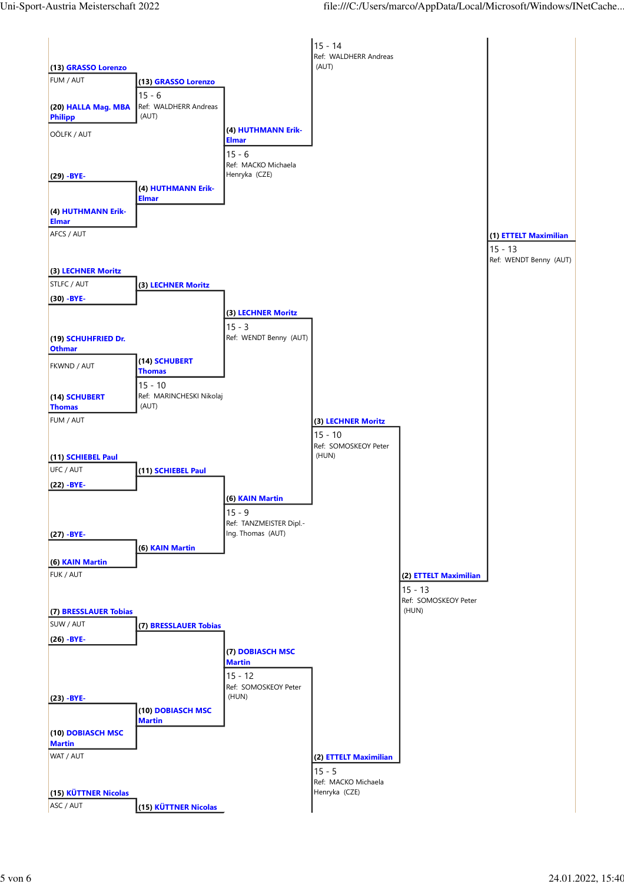